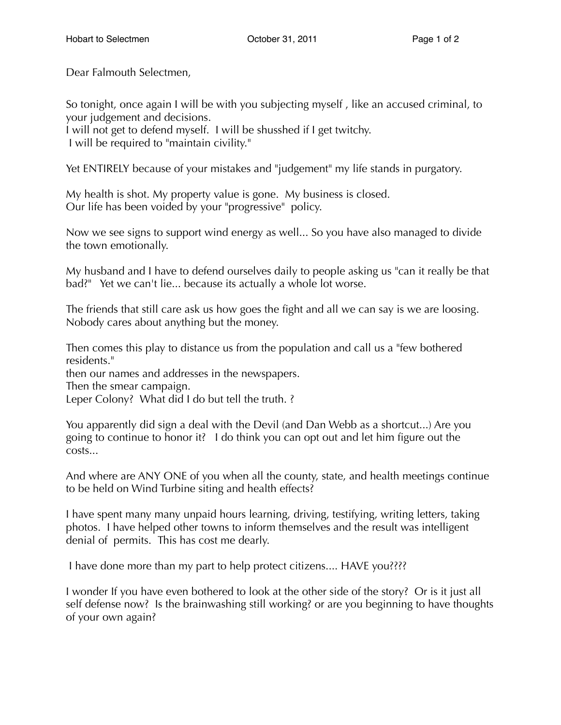Dear Falmouth Selectmen,

So tonight, once again I will be with you subjecting myself , like an accused criminal, to your judgement and decisions.

I will not get to defend myself. I will be shusshed if I get twitchy. I will be required to "maintain civility."

Yet ENTIRELY because of your mistakes and "judgement" my life stands in purgatory.

My health is shot. My property value is gone. My business is closed. Our life has been voided by your "progressive" policy.

Now we see signs to support wind energy as well... So you have also managed to divide the town emotionally.

My husband and I have to defend ourselves daily to people asking us "can it really be that bad?" Yet we can't lie... because its actually a whole lot worse.

The friends that still care ask us how goes the fight and all we can say is we are loosing. Nobody cares about anything but the money.

Then comes this play to distance us from the population and call us a "few bothered residents."

then our names and addresses in the newspapers.

Then the smear campaign.

Leper Colony? What did I do but tell the truth. ?

You apparently did sign a deal with the Devil (and Dan Webb as a shortcut...) Are you going to continue to honor it? I do think you can opt out and let him figure out the costs...

And where are ANY ONE of you when all the county, state, and health meetings continue to be held on Wind Turbine siting and health effects?

I have spent many many unpaid hours learning, driving, testifying, writing letters, taking photos. I have helped other towns to inform themselves and the result was intelligent denial of permits. This has cost me dearly.

I have done more than my part to help protect citizens.... HAVE you????

I wonder If you have even bothered to look at the other side of the story? Or is it just all self defense now? Is the brainwashing still working? or are you beginning to have thoughts of your own again?